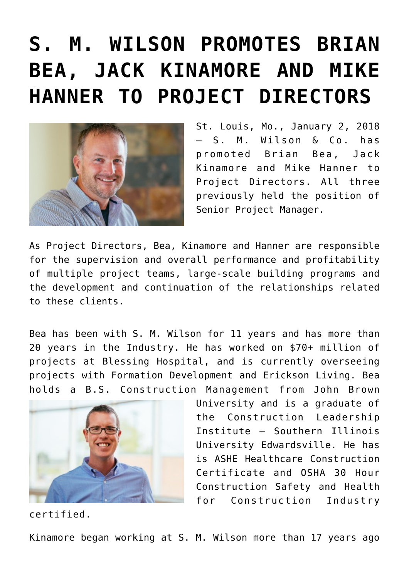## **[S. M. WILSON PROMOTES BRIAN](https://smwilson.com/press-releases/s-m-wilson-promotes-brian-bea-jack-kinamore-mike-hanner-project-directors) [BEA, JACK KINAMORE AND MIKE](https://smwilson.com/press-releases/s-m-wilson-promotes-brian-bea-jack-kinamore-mike-hanner-project-directors) [HANNER TO PROJECT DIRECTORS](https://smwilson.com/press-releases/s-m-wilson-promotes-brian-bea-jack-kinamore-mike-hanner-project-directors)**



St. Louis, Mo., January 2, 2018 – S. M. Wilson & Co. has promoted Brian Bea, Jack Kinamore and Mike Hanner to Project Directors. All three previously held the position of Senior Project Manager.

As Project Directors, Bea, Kinamore and Hanner are responsible for the supervision and overall performance and profitability of multiple project teams, large-scale building programs and the development and continuation of the relationships related to these clients.

Bea has been with S. M. Wilson for 11 years and has more than 20 years in the Industry. He has worked on \$70+ million of projects at Blessing Hospital, and is currently overseeing projects with Formation Development and Erickson Living. Bea holds a B.S. Construction Management from John Brown



certified.

University and is a graduate of the Construction Leadership Institute – Southern Illinois University Edwardsville. He has is ASHE Healthcare Construction Certificate and OSHA 30 Hour Construction Safety and Health for Construction Industry

Kinamore began working at S. M. Wilson more than 17 years ago